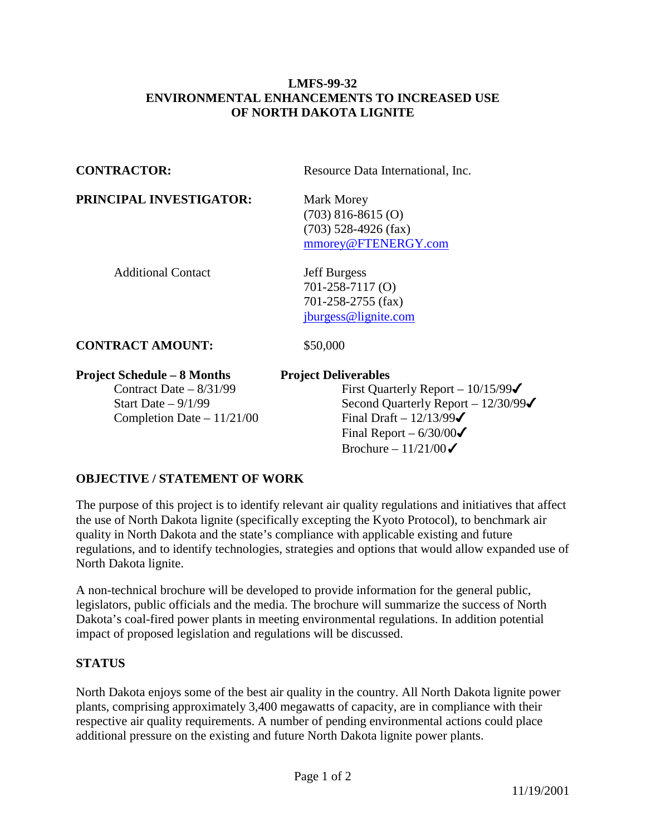## **LMFS-99-32 ENVIRONMENTAL ENHANCEMENTS TO INCREASED USE OF NORTH DAKOTA LIGNITE**

**CONTRACTOR:** Resource Data International, Inc.

**PRINCIPAL INVESTIGATOR:** Mark Morey

 (703) 816-8615 (O) (703) 528-4926 (fax) [mmorey@FTENERGY.com](mailto:mmorey@FTENERGY.com)

Additional Contact **Jeff Burgess** 

 701-258-7117 (O) 701-258-2755 (fax) [jburgess@lignite.com](mailto:jburgess@lignite.com)

**CONTRACT AMOUNT:** \$50,000

## **Project Schedule – 8 Months Project Deliverables**

Completion Date –  $11/21/00$  Final Draft –  $12/13/99\checkmark$ 

Contract Date –  $8/31/99$  First Quarterly Report –  $10/15/99\checkmark$ Start Date –  $9/1/99$  Second Quarterly Report –  $12/30/99\checkmark$ Final Report –  $6/30/00\sigma$ Brochure –  $11/21/00\checkmark$ 

# **OBJECTIVE / STATEMENT OF WORK**

The purpose of this project is to identify relevant air quality regulations and initiatives that affect the use of North Dakota lignite (specifically excepting the Kyoto Protocol), to benchmark air quality in North Dakota and the state's compliance with applicable existing and future regulations, and to identify technologies, strategies and options that would allow expanded use of North Dakota lignite.

A non-technical brochure will be developed to provide information for the general public, legislators, public officials and the media. The brochure will summarize the success of North Dakota's coal-fired power plants in meeting environmental regulations. In addition potential impact of proposed legislation and regulations will be discussed.

## **STATUS**

North Dakota enjoys some of the best air quality in the country. All North Dakota lignite power plants, comprising approximately 3,400 megawatts of capacity, are in compliance with their respective air quality requirements. A number of pending environmental actions could place additional pressure on the existing and future North Dakota lignite power plants.